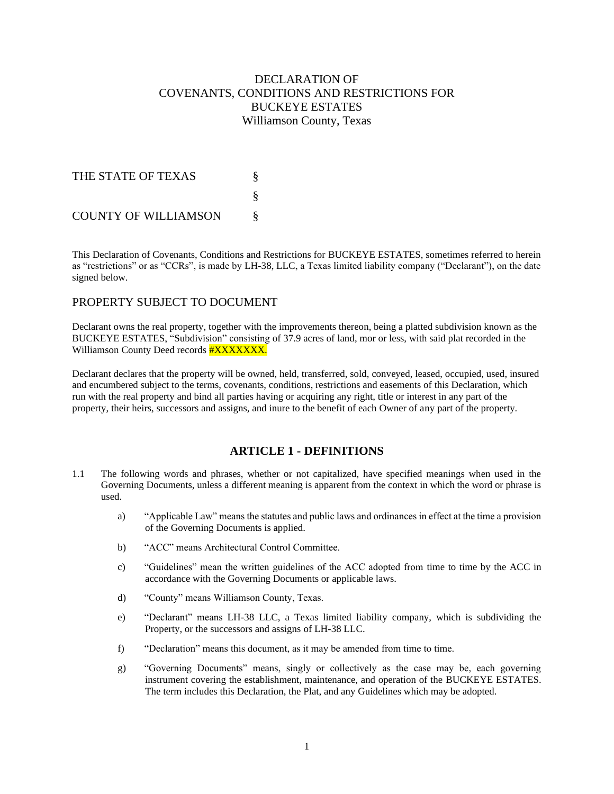# DECLARATION OF COVENANTS, CONDITIONS AND RESTRICTIONS FOR BUCKEYE ESTATES Williamson County, Texas

| THE STATE OF TEXAS          |  |
|-----------------------------|--|
|                             |  |
| <b>COUNTY OF WILLIAMSON</b> |  |

This Declaration of Covenants, Conditions and Restrictions for BUCKEYE ESTATES, sometimes referred to herein as "restrictions" or as "CCRs", is made by LH-38, LLC, a Texas limited liability company ("Declarant"), on the date signed below.

## PROPERTY SUBJECT TO DOCUMENT

Declarant owns the real property, together with the improvements thereon, being a platted subdivision known as the BUCKEYE ESTATES, "Subdivision" consisting of 37.9 acres of land, mor or less, with said plat recorded in the Williamson County Deed records **#XXXXXXX.** 

Declarant declares that the property will be owned, held, transferred, sold, conveyed, leased, occupied, used, insured and encumbered subject to the terms, covenants, conditions, restrictions and easements of this Declaration, which run with the real property and bind all parties having or acquiring any right, title or interest in any part of the property, their heirs, successors and assigns, and inure to the benefit of each Owner of any part of the property.

## **ARTICLE 1 - DEFINITIONS**

- 1.1 The following words and phrases, whether or not capitalized, have specified meanings when used in the Governing Documents, unless a different meaning is apparent from the context in which the word or phrase is used.
	- a) "Applicable Law" means the statutes and public laws and ordinances in effect at the time a provision of the Governing Documents is applied.
	- b) "ACC" means Architectural Control Committee.
	- c) "Guidelines" mean the written guidelines of the ACC adopted from time to time by the ACC in accordance with the Governing Documents or applicable laws.
	- d) "County" means Williamson County, Texas.
	- e) "Declarant" means LH-38 LLC, a Texas limited liability company, which is subdividing the Property, or the successors and assigns of LH-38 LLC.
	- f) "Declaration" means this document, as it may be amended from time to time.
	- g) "Governing Documents" means, singly or collectively as the case may be, each governing instrument covering the establishment, maintenance, and operation of the BUCKEYE ESTATES. The term includes this Declaration, the Plat, and any Guidelines which may be adopted.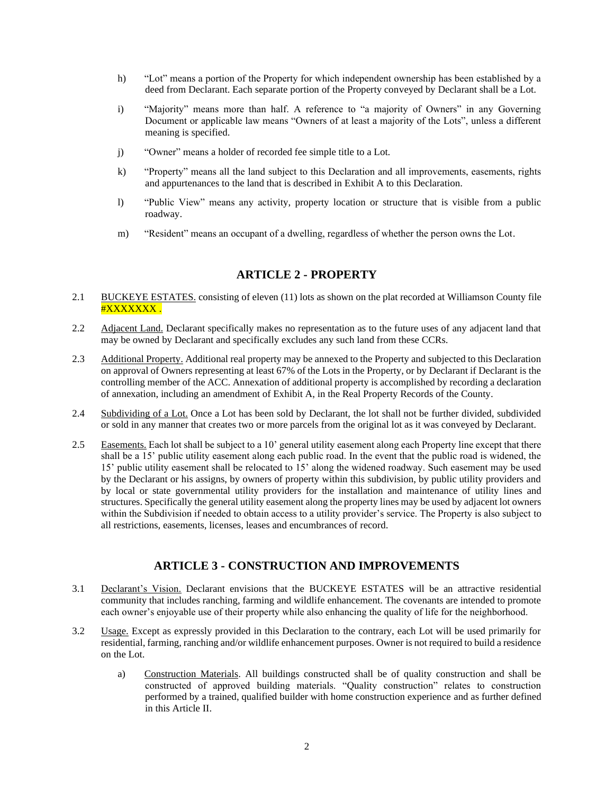- h) "Lot" means a portion of the Property for which independent ownership has been established by a deed from Declarant. Each separate portion of the Property conveyed by Declarant shall be a Lot.
- i) "Majority" means more than half. A reference to "a majority of Owners" in any Governing Document or applicable law means "Owners of at least a majority of the Lots", unless a different meaning is specified.
- j) "Owner" means a holder of recorded fee simple title to a Lot.
- k) "Property" means all the land subject to this Declaration and all improvements, easements, rights and appurtenances to the land that is described in Exhibit A to this Declaration.
- l) "Public View" means any activity, property location or structure that is visible from a public roadway.
- m) "Resident" means an occupant of a dwelling, regardless of whether the person owns the Lot.

## **ARTICLE 2 - PROPERTY**

- 2.1 BUCKEYE ESTATES. consisting of eleven (11) lots as shown on the plat recorded at Williamson County file #XXXXXXX .
- 2.2 Adjacent Land. Declarant specifically makes no representation as to the future uses of any adjacent land that may be owned by Declarant and specifically excludes any such land from these CCRs.
- 2.3 Additional Property. Additional real property may be annexed to the Property and subjected to this Declaration on approval of Owners representing at least 67% of the Lots in the Property, or by Declarant if Declarant is the controlling member of the ACC. Annexation of additional property is accomplished by recording a declaration of annexation, including an amendment of Exhibit A, in the Real Property Records of the County.
- 2.4 Subdividing of a Lot. Once a Lot has been sold by Declarant, the lot shall not be further divided, subdivided or sold in any manner that creates two or more parcels from the original lot as it was conveyed by Declarant.
- 2.5 Easements. Each lot shall be subject to a 10' general utility easement along each Property line except that there shall be a 15' public utility easement along each public road. In the event that the public road is widened, the 15' public utility easement shall be relocated to 15' along the widened roadway. Such easement may be used by the Declarant or his assigns, by owners of property within this subdivision, by public utility providers and by local or state governmental utility providers for the installation and maintenance of utility lines and structures. Specifically the general utility easement along the property lines may be used by adjacent lot owners within the Subdivision if needed to obtain access to a utility provider's service. The Property is also subject to all restrictions, easements, licenses, leases and encumbrances of record.

## **ARTICLE 3 - CONSTRUCTION AND IMPROVEMENTS**

- 3.1 Declarant's Vision. Declarant envisions that the BUCKEYE ESTATES will be an attractive residential community that includes ranching, farming and wildlife enhancement. The covenants are intended to promote each owner's enjoyable use of their property while also enhancing the quality of life for the neighborhood.
- 3.2 Usage. Except as expressly provided in this Declaration to the contrary, each Lot will be used primarily for residential, farming, ranching and/or wildlife enhancement purposes. Owner is not required to build a residence on the Lot.
	- a) Construction Materials. All buildings constructed shall be of quality construction and shall be constructed of approved building materials. "Quality construction" relates to construction performed by a trained, qualified builder with home construction experience and as further defined in this Article II.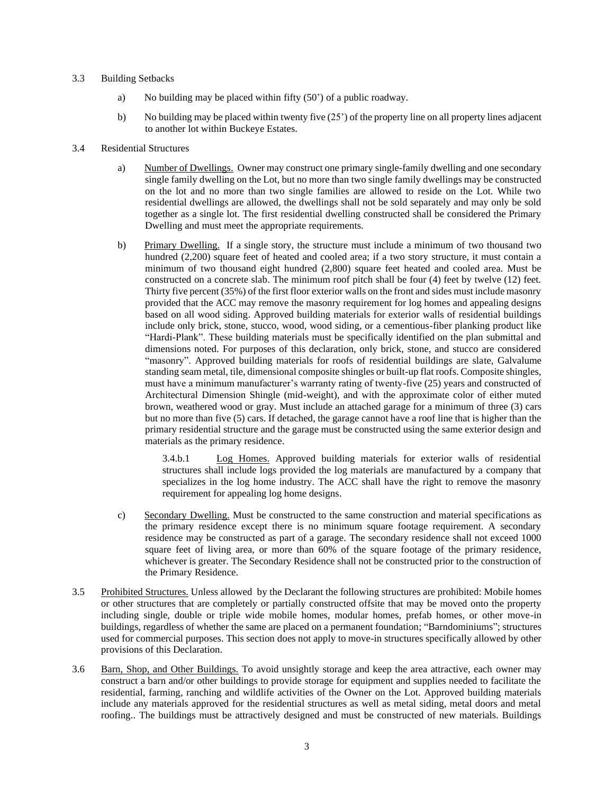#### 3.3 Building Setbacks

- a) No building may be placed within fifty (50') of a public roadway.
- b) No building may be placed within twenty five (25') of the property line on all property lines adjacent to another lot within Buckeye Estates.
- 3.4 Residential Structures
	- a) Number of Dwellings. Owner may construct one primary single-family dwelling and one secondary single family dwelling on the Lot, but no more than two single family dwellings may be constructed on the lot and no more than two single families are allowed to reside on the Lot. While two residential dwellings are allowed, the dwellings shall not be sold separately and may only be sold together as a single lot. The first residential dwelling constructed shall be considered the Primary Dwelling and must meet the appropriate requirements.
	- b) Primary Dwelling. If a single story, the structure must include a minimum of two thousand two hundred (2,200) square feet of heated and cooled area; if a two story structure, it must contain a minimum of two thousand eight hundred (2,800) square feet heated and cooled area. Must be constructed on a concrete slab. The minimum roof pitch shall be four (4) feet by twelve (12) feet. Thirty five percent (35%) of the first floor exterior walls on the front and sides must include masonry provided that the ACC may remove the masonry requirement for log homes and appealing designs based on all wood siding. Approved building materials for exterior walls of residential buildings include only brick, stone, stucco, wood, wood siding, or a cementious-fiber planking product like "Hardi-Plank". These building materials must be specifically identified on the plan submittal and dimensions noted. For purposes of this declaration, only brick, stone, and stucco are considered "masonry". Approved building materials for roofs of residential buildings are slate, Galvalume standing seam metal, tile, dimensional composite shingles or built-up flat roofs. Composite shingles, must have a minimum manufacturer's warranty rating of twenty-five (25) years and constructed of Architectural Dimension Shingle (mid-weight), and with the approximate color of either muted brown, weathered wood or gray. Must include an attached garage for a minimum of three (3) cars but no more than five (5) cars. If detached, the garage cannot have a roof line that is higher than the primary residential structure and the garage must be constructed using the same exterior design and materials as the primary residence.

3.4.b.1 Log Homes. Approved building materials for exterior walls of residential structures shall include logs provided the log materials are manufactured by a company that specializes in the log home industry. The ACC shall have the right to remove the masonry requirement for appealing log home designs.

- c) Secondary Dwelling. Must be constructed to the same construction and material specifications as the primary residence except there is no minimum square footage requirement. A secondary residence may be constructed as part of a garage. The secondary residence shall not exceed 1000 square feet of living area, or more than 60% of the square footage of the primary residence, whichever is greater. The Secondary Residence shall not be constructed prior to the construction of the Primary Residence.
- 3.5 Prohibited Structures. Unless allowed by the Declarant the following structures are prohibited: Mobile homes or other structures that are completely or partially constructed offsite that may be moved onto the property including single, double or triple wide mobile homes, modular homes, prefab homes, or other move-in buildings, regardless of whether the same are placed on a permanent foundation; "Barndominiums"; structures used for commercial purposes. This section does not apply to move-in structures specifically allowed by other provisions of this Declaration.
- 3.6 Barn, Shop, and Other Buildings. To avoid unsightly storage and keep the area attractive, each owner may construct a barn and/or other buildings to provide storage for equipment and supplies needed to facilitate the residential, farming, ranching and wildlife activities of the Owner on the Lot. Approved building materials include any materials approved for the residential structures as well as metal siding, metal doors and metal roofing.. The buildings must be attractively designed and must be constructed of new materials. Buildings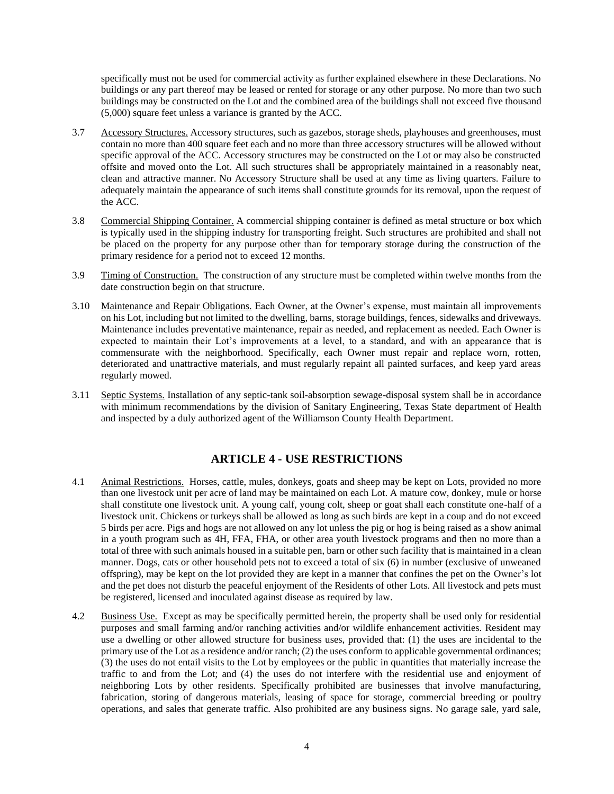specifically must not be used for commercial activity as further explained elsewhere in these Declarations. No buildings or any part thereof may be leased or rented for storage or any other purpose. No more than two such buildings may be constructed on the Lot and the combined area of the buildings shall not exceed five thousand (5,000) square feet unless a variance is granted by the ACC.

- 3.7 Accessory Structures. Accessory structures, such as gazebos, storage sheds, playhouses and greenhouses, must contain no more than 400 square feet each and no more than three accessory structures will be allowed without specific approval of the ACC. Accessory structures may be constructed on the Lot or may also be constructed offsite and moved onto the Lot. All such structures shall be appropriately maintained in a reasonably neat, clean and attractive manner. No Accessory Structure shall be used at any time as living quarters. Failure to adequately maintain the appearance of such items shall constitute grounds for its removal, upon the request of the ACC.
- 3.8 Commercial Shipping Container. A commercial shipping container is defined as metal structure or box which is typically used in the shipping industry for transporting freight. Such structures are prohibited and shall not be placed on the property for any purpose other than for temporary storage during the construction of the primary residence for a period not to exceed 12 months.
- 3.9 Timing of Construction. The construction of any structure must be completed within twelve months from the date construction begin on that structure.
- 3.10 Maintenance and Repair Obligations. Each Owner, at the Owner's expense, must maintain all improvements on his Lot, including but not limited to the dwelling, barns, storage buildings, fences, sidewalks and driveways. Maintenance includes preventative maintenance, repair as needed, and replacement as needed. Each Owner is expected to maintain their Lot's improvements at a level, to a standard, and with an appearance that is commensurate with the neighborhood. Specifically, each Owner must repair and replace worn, rotten, deteriorated and unattractive materials, and must regularly repaint all painted surfaces, and keep yard areas regularly mowed.
- 3.11 Septic Systems. Installation of any septic-tank soil-absorption sewage-disposal system shall be in accordance with minimum recommendations by the division of Sanitary Engineering, Texas State department of Health and inspected by a duly authorized agent of the Williamson County Health Department.

## **ARTICLE 4 - USE RESTRICTIONS**

- 4.1 Animal Restrictions. Horses, cattle, mules, donkeys, goats and sheep may be kept on Lots, provided no more than one livestock unit per acre of land may be maintained on each Lot. A mature cow, donkey, mule or horse shall constitute one livestock unit. A young calf, young colt, sheep or goat shall each constitute one-half of a livestock unit. Chickens or turkeys shall be allowed as long as such birds are kept in a coup and do not exceed 5 birds per acre. Pigs and hogs are not allowed on any lot unless the pig or hog is being raised as a show animal in a youth program such as 4H, FFA, FHA, or other area youth livestock programs and then no more than a total of three with such animals housed in a suitable pen, barn or other such facility that is maintained in a clean manner. Dogs, cats or other household pets not to exceed a total of six (6) in number (exclusive of unweaned offspring), may be kept on the lot provided they are kept in a manner that confines the pet on the Owner's lot and the pet does not disturb the peaceful enjoyment of the Residents of other Lots. All livestock and pets must be registered, licensed and inoculated against disease as required by law.
- 4.2 Business Use. Except as may be specifically permitted herein, the property shall be used only for residential purposes and small farming and/or ranching activities and/or wildlife enhancement activities. Resident may use a dwelling or other allowed structure for business uses, provided that: (1) the uses are incidental to the primary use of the Lot as a residence and/or ranch; (2) the uses conform to applicable governmental ordinances; (3) the uses do not entail visits to the Lot by employees or the public in quantities that materially increase the traffic to and from the Lot; and (4) the uses do not interfere with the residential use and enjoyment of neighboring Lots by other residents. Specifically prohibited are businesses that involve manufacturing, fabrication, storing of dangerous materials, leasing of space for storage, commercial breeding or poultry operations, and sales that generate traffic. Also prohibited are any business signs. No garage sale, yard sale,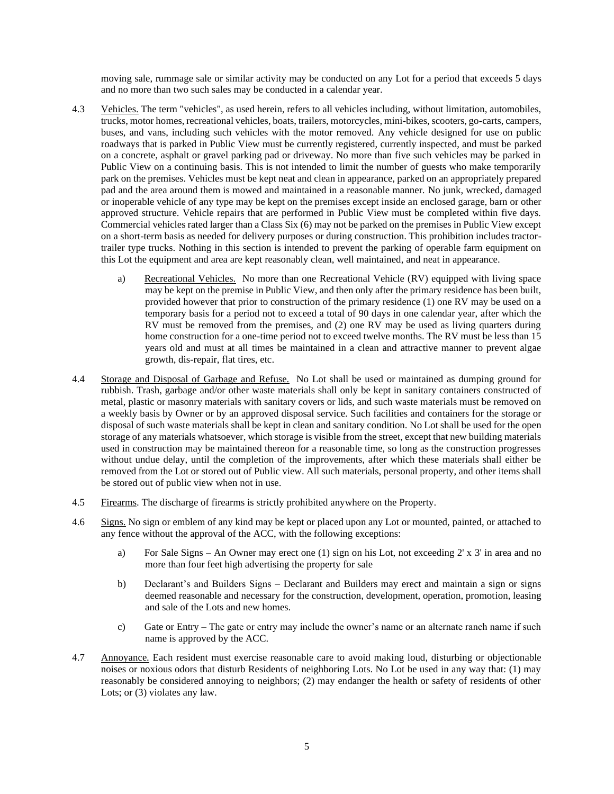moving sale, rummage sale or similar activity may be conducted on any Lot for a period that exceeds 5 days and no more than two such sales may be conducted in a calendar year.

- 4.3 Vehicles. The term "vehicles", as used herein, refers to all vehicles including, without limitation, automobiles, trucks, motor homes, recreational vehicles, boats, trailers, motorcycles, mini-bikes, scooters, go-carts, campers, buses, and vans, including such vehicles with the motor removed. Any vehicle designed for use on public roadways that is parked in Public View must be currently registered, currently inspected, and must be parked on a concrete, asphalt or gravel parking pad or driveway. No more than five such vehicles may be parked in Public View on a continuing basis. This is not intended to limit the number of guests who make temporarily park on the premises. Vehicles must be kept neat and clean in appearance, parked on an appropriately prepared pad and the area around them is mowed and maintained in a reasonable manner. No junk, wrecked, damaged or inoperable vehicle of any type may be kept on the premises except inside an enclosed garage, barn or other approved structure. Vehicle repairs that are performed in Public View must be completed within five days. Commercial vehicles rated larger than a Class Six (6) may not be parked on the premises in Public View except on a short-term basis as needed for delivery purposes or during construction. This prohibition includes tractortrailer type trucks. Nothing in this section is intended to prevent the parking of operable farm equipment on this Lot the equipment and area are kept reasonably clean, well maintained, and neat in appearance.
	- a) Recreational Vehicles. No more than one Recreational Vehicle (RV) equipped with living space may be kept on the premise in Public View, and then only after the primary residence has been built, provided however that prior to construction of the primary residence (1) one RV may be used on a temporary basis for a period not to exceed a total of 90 days in one calendar year, after which the RV must be removed from the premises, and (2) one RV may be used as living quarters during home construction for a one-time period not to exceed twelve months. The RV must be less than 15 years old and must at all times be maintained in a clean and attractive manner to prevent algae growth, dis-repair, flat tires, etc.
- 4.4 Storage and Disposal of Garbage and Refuse. No Lot shall be used or maintained as dumping ground for rubbish. Trash, garbage and/or other waste materials shall only be kept in sanitary containers constructed of metal, plastic or masonry materials with sanitary covers or lids, and such waste materials must be removed on a weekly basis by Owner or by an approved disposal service. Such facilities and containers for the storage or disposal of such waste materials shall be kept in clean and sanitary condition. No Lot shall be used for the open storage of any materials whatsoever, which storage is visible from the street, except that new building materials used in construction may be maintained thereon for a reasonable time, so long as the construction progresses without undue delay, until the completion of the improvements, after which these materials shall either be removed from the Lot or stored out of Public view. All such materials, personal property, and other items shall be stored out of public view when not in use.
- 4.5 Firearms. The discharge of firearms is strictly prohibited anywhere on the Property.
- 4.6 Signs. No sign or emblem of any kind may be kept or placed upon any Lot or mounted, painted, or attached to any fence without the approval of the ACC, with the following exceptions:
	- a) For Sale Signs An Owner may erect one (1) sign on his Lot, not exceeding 2' x 3' in area and no more than four feet high advertising the property for sale
	- b) Declarant's and Builders Signs Declarant and Builders may erect and maintain a sign or signs deemed reasonable and necessary for the construction, development, operation, promotion, leasing and sale of the Lots and new homes.
	- c) Gate or Entry The gate or entry may include the owner's name or an alternate ranch name if such name is approved by the ACC.
- 4.7 Annoyance. Each resident must exercise reasonable care to avoid making loud, disturbing or objectionable noises or noxious odors that disturb Residents of neighboring Lots. No Lot be used in any way that: (1) may reasonably be considered annoying to neighbors; (2) may endanger the health or safety of residents of other Lots; or (3) violates any law.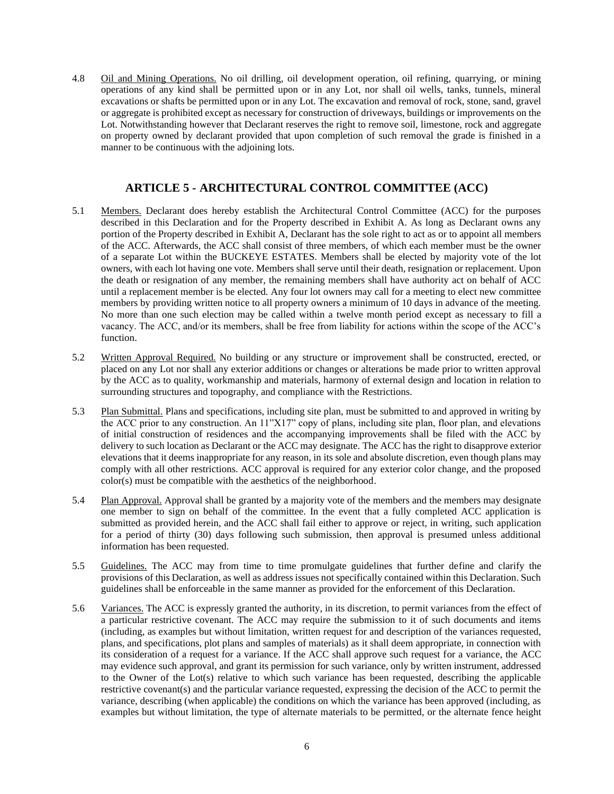4.8 Oil and Mining Operations. No oil drilling, oil development operation, oil refining, quarrying, or mining operations of any kind shall be permitted upon or in any Lot, nor shall oil wells, tanks, tunnels, mineral excavations or shafts be permitted upon or in any Lot. The excavation and removal of rock, stone, sand, gravel or aggregate is prohibited except as necessary for construction of driveways, buildings or improvements on the Lot. Notwithstanding however that Declarant reserves the right to remove soil, limestone, rock and aggregate on property owned by declarant provided that upon completion of such removal the grade is finished in a manner to be continuous with the adjoining lots.

## **ARTICLE 5 - ARCHITECTURAL CONTROL COMMITTEE (ACC)**

- 5.1 Members. Declarant does hereby establish the Architectural Control Committee (ACC) for the purposes described in this Declaration and for the Property described in Exhibit A. As long as Declarant owns any portion of the Property described in Exhibit A, Declarant has the sole right to act as or to appoint all members of the ACC. Afterwards, the ACC shall consist of three members, of which each member must be the owner of a separate Lot within the BUCKEYE ESTATES. Members shall be elected by majority vote of the lot owners, with each lot having one vote. Members shall serve until their death, resignation or replacement. Upon the death or resignation of any member, the remaining members shall have authority act on behalf of ACC until a replacement member is be elected. Any four lot owners may call for a meeting to elect new committee members by providing written notice to all property owners a minimum of 10 days in advance of the meeting. No more than one such election may be called within a twelve month period except as necessary to fill a vacancy. The ACC, and/or its members, shall be free from liability for actions within the scope of the ACC's function.
- 5.2 Written Approval Required. No building or any structure or improvement shall be constructed, erected, or placed on any Lot nor shall any exterior additions or changes or alterations be made prior to written approval by the ACC as to quality, workmanship and materials, harmony of external design and location in relation to surrounding structures and topography, and compliance with the Restrictions.
- 5.3 Plan Submittal. Plans and specifications, including site plan, must be submitted to and approved in writing by the ACC prior to any construction. An 11"X17" copy of plans, including site plan, floor plan, and elevations of initial construction of residences and the accompanying improvements shall be filed with the ACC by delivery to such location as Declarant or the ACC may designate. The ACC has the right to disapprove exterior elevations that it deems inappropriate for any reason, in its sole and absolute discretion, even though plans may comply with all other restrictions. ACC approval is required for any exterior color change, and the proposed color(s) must be compatible with the aesthetics of the neighborhood.
- 5.4 Plan Approval. Approval shall be granted by a majority vote of the members and the members may designate one member to sign on behalf of the committee. In the event that a fully completed ACC application is submitted as provided herein, and the ACC shall fail either to approve or reject, in writing, such application for a period of thirty (30) days following such submission, then approval is presumed unless additional information has been requested.
- 5.5 Guidelines. The ACC may from time to time promulgate guidelines that further define and clarify the provisions of this Declaration, as well as address issues not specifically contained within this Declaration. Such guidelines shall be enforceable in the same manner as provided for the enforcement of this Declaration.
- 5.6 Variances. The ACC is expressly granted the authority, in its discretion, to permit variances from the effect of a particular restrictive covenant. The ACC may require the submission to it of such documents and items (including, as examples but without limitation, written request for and description of the variances requested, plans, and specifications, plot plans and samples of materials) as it shall deem appropriate, in connection with its consideration of a request for a variance. If the ACC shall approve such request for a variance, the ACC may evidence such approval, and grant its permission for such variance, only by written instrument, addressed to the Owner of the Lot(s) relative to which such variance has been requested, describing the applicable restrictive covenant(s) and the particular variance requested, expressing the decision of the ACC to permit the variance, describing (when applicable) the conditions on which the variance has been approved (including, as examples but without limitation, the type of alternate materials to be permitted, or the alternate fence height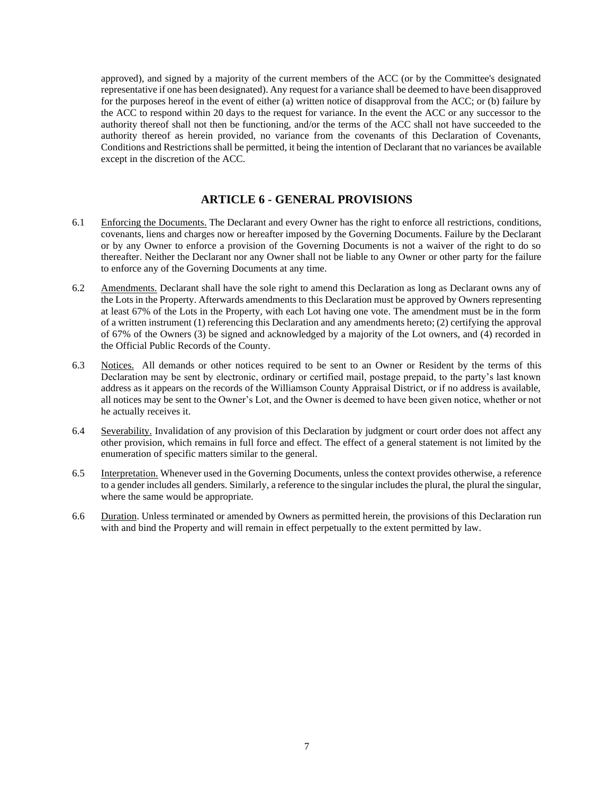approved), and signed by a majority of the current members of the ACC (or by the Committee's designated representative if one has been designated). Any request for a variance shall be deemed to have been disapproved for the purposes hereof in the event of either (a) written notice of disapproval from the ACC; or (b) failure by the ACC to respond within 20 days to the request for variance. In the event the ACC or any successor to the authority thereof shall not then be functioning, and/or the terms of the ACC shall not have succeeded to the authority thereof as herein provided, no variance from the covenants of this Declaration of Covenants, Conditions and Restrictions shall be permitted, it being the intention of Declarant that no variances be available except in the discretion of the ACC.

## **ARTICLE 6 - GENERAL PROVISIONS**

- 6.1 Enforcing the Documents. The Declarant and every Owner has the right to enforce all restrictions, conditions, covenants, liens and charges now or hereafter imposed by the Governing Documents. Failure by the Declarant or by any Owner to enforce a provision of the Governing Documents is not a waiver of the right to do so thereafter. Neither the Declarant nor any Owner shall not be liable to any Owner or other party for the failure to enforce any of the Governing Documents at any time.
- 6.2 Amendments. Declarant shall have the sole right to amend this Declaration as long as Declarant owns any of the Lots in the Property. Afterwards amendments to this Declaration must be approved by Owners representing at least 67% of the Lots in the Property, with each Lot having one vote. The amendment must be in the form of a written instrument (1) referencing this Declaration and any amendments hereto; (2) certifying the approval of 67% of the Owners (3) be signed and acknowledged by a majority of the Lot owners, and (4) recorded in the Official Public Records of the County.
- 6.3 Notices. All demands or other notices required to be sent to an Owner or Resident by the terms of this Declaration may be sent by electronic, ordinary or certified mail, postage prepaid, to the party's last known address as it appears on the records of the Williamson County Appraisal District, or if no address is available, all notices may be sent to the Owner's Lot, and the Owner is deemed to have been given notice, whether or not he actually receives it.
- 6.4 Severability. Invalidation of any provision of this Declaration by judgment or court order does not affect any other provision, which remains in full force and effect. The effect of a general statement is not limited by the enumeration of specific matters similar to the general.
- 6.5 Interpretation. Whenever used in the Governing Documents, unless the context provides otherwise, a reference to a gender includes all genders. Similarly, a reference to the singular includes the plural, the plural the singular, where the same would be appropriate.
- 6.6 Duration. Unless terminated or amended by Owners as permitted herein, the provisions of this Declaration run with and bind the Property and will remain in effect perpetually to the extent permitted by law.